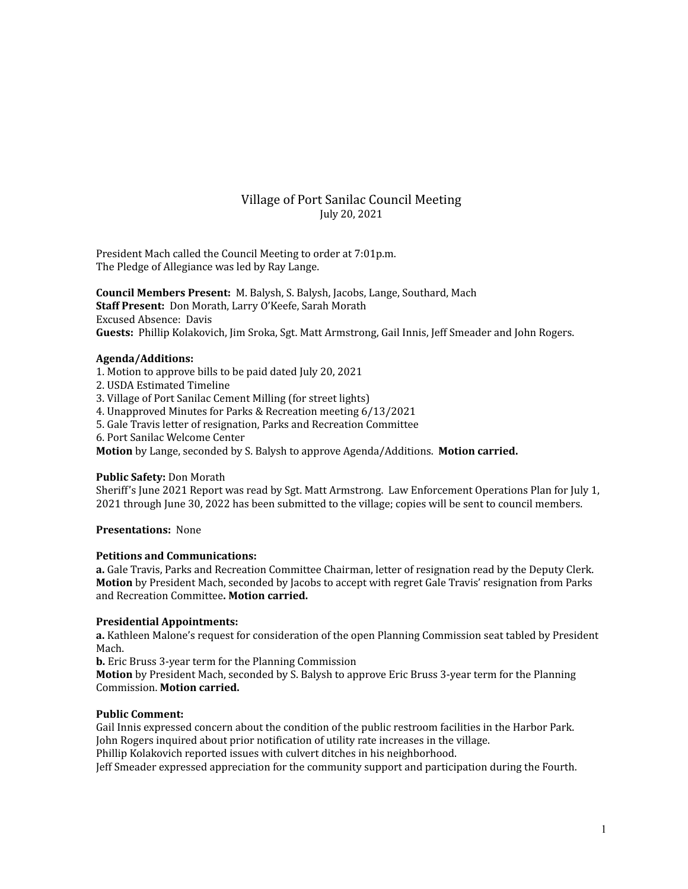# Village of Port Sanilac Council Meeting July 20, 2021

President Mach called the Council Meeting to order at 7:01p.m. The Pledge of Allegiance was led by Ray Lange.

**Council Members Present:** M. Balysh, S. Balysh, Jacobs, Lange, Southard, Mach **Staff Present:** Don Morath, Larry O'Keefe, Sarah Morath Excused Absence: Davis **Guests:** Phillip Kolakovich, Jim Sroka, Sgt. Matt Armstrong, Gail Innis, Jeff Smeader and John Rogers.

## **Agenda/Additions:**

- 1. Motion to approve bills to be paid dated July 20, 2021
- 2. USDA Estimated Timeline

3. Village of Port Sanilac Cement Milling (for street lights)

- 4. Unapproved Minutes for Parks & Recreation meeting 6/13/2021
- 5. Gale Travis letter of resignation, Parks and Recreation Committee

6. Port Sanilac Welcome Center

**Motion** by Lange, seconded by S. Balysh to approve Agenda/Additions. **Motion carried.**

# **Public Safety:** Don Morath

Sheriff's June 2021 Report was read by Sgt. Matt Armstrong. Law Enforcement Operations Plan for July 1, 2021 through June 30, 2022 has been submitted to the village; copies will be sent to council members.

#### **Presentations:** None

# **Petitions and Communications:**

**a.** Gale Travis, Parks and Recreation Committee Chairman, letter of resignation read by the Deputy Clerk. **Motion** by President Mach, seconded by Jacobs to accept with regret Gale Travis' resignation from Parks and Recreation Committee**. Motion carried.**

# **Presidential Appointments:**

**a.** Kathleen Malone's request for consideration of the open Planning Commission seat tabled by President Mach.

**b.** Eric Bruss 3-year term for the Planning Commission

**Motion** by President Mach, seconded by S. Balysh to approve Eric Bruss 3-year term for the Planning Commission. **Motion carried.**

#### **Public Comment:**

Gail Innis expressed concern about the condition of the public restroom facilities in the Harbor Park. John Rogers inquired about prior notification of utility rate increases in the village.

Phillip Kolakovich reported issues with culvert ditches in his neighborhood.

Jeff Smeader expressed appreciation for the community support and participation during the Fourth.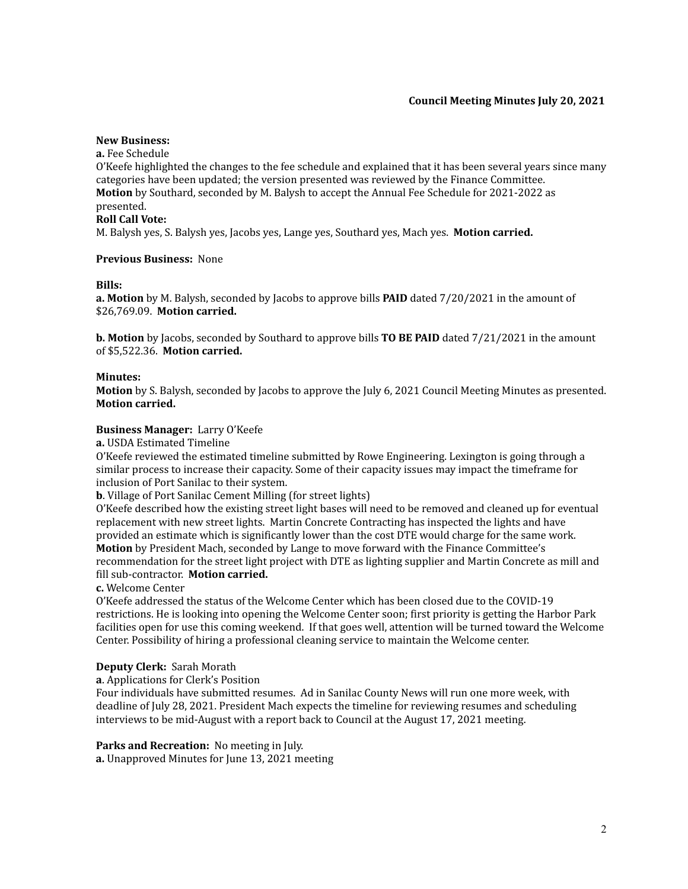# **Council Meeting Minutes July 20, 2021**

#### **New Business:**

**a.** Fee Schedule

O'Keefe highlighted the changes to the fee schedule and explained that it has been several years since many categories have been updated; the version presented was reviewed by the Finance Committee. **Motion** by Southard, seconded by M. Balysh to accept the Annual Fee Schedule for 2021-2022 as presented.

## **Roll Call Vote:**

M. Balysh yes, S. Balysh yes, Jacobs yes, Lange yes, Southard yes, Mach yes. **Motion carried.**

## **Previous Business:** None

#### **Bills:**

**a. Motion** by M. Balysh, seconded by Jacobs to approve bills **PAID** dated 7/20/2021 in the amount of \$26,769.09. **Motion carried.**

**b. Motion** by Jacobs, seconded by Southard to approve bills **TO BE PAID** dated 7/21/2021 in the amount of \$5,522.36. **Motion carried.**

## **Minutes:**

**Motion** by S. Balysh, seconded by Jacobs to approve the July 6, 2021 Council Meeting Minutes as presented. **Motion carried.**

## **Business Manager:** Larry O'Keefe

**a.** USDA Estimated Timeline

O'Keefe reviewed the estimated timeline submitted by Rowe Engineering. Lexington is going through a similar process to increase their capacity. Some of their capacity issues may impact the timeframe for inclusion of Port Sanilac to their system.

**b**. Village of Port Sanilac Cement Milling (for street lights)

O'Keefe described how the existing street light bases will need to be removed and cleaned up for eventual replacement with new street lights. Martin Concrete Contracting has inspected the lights and have provided an estimate which is significantly lower than the cost DTE would charge for the same work. **Motion** by President Mach, seconded by Lange to move forward with the Finance Committee's recommendation for the street light project with DTE as lighting supplier and Martin Concrete as mill and fill sub-contractor. **Motion carried.**

**c.** Welcome Center

O'Keefe addressed the status of the Welcome Center which has been closed due to the COVID-19 restrictions. He is looking into opening the Welcome Center soon; first priority is getting the Harbor Park facilities open for use this coming weekend. If that goes well, attention will be turned toward the Welcome Center. Possibility of hiring a professional cleaning service to maintain the Welcome center.

# **Deputy Clerk:** Sarah Morath

**a**. Applications for Clerk's Position

Four individuals have submitted resumes. Ad in Sanilac County News will run one more week, with deadline of July 28, 2021. President Mach expects the timeline for reviewing resumes and scheduling interviews to be mid-August with a report back to Council at the August 17, 2021 meeting.

#### **Parks and Recreation:** No meeting in July.

**a.** Unapproved Minutes for June 13, 2021 meeting